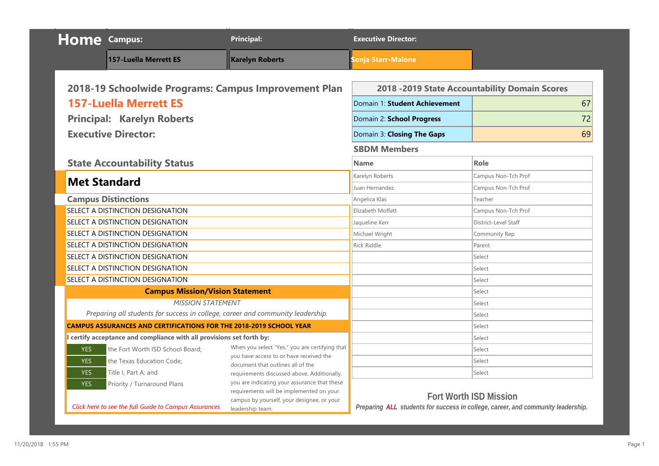|            | <b>Home</b> Campus:                                                             | <b>Principal:</b>                                                                      | <b>Executive Director:</b>    |                                                                                  |
|------------|---------------------------------------------------------------------------------|----------------------------------------------------------------------------------------|-------------------------------|----------------------------------------------------------------------------------|
|            | <b>157-Luella Merrett ES</b>                                                    | <b>Karelyn Roberts</b>                                                                 | <b>Sonja Starr-Malone</b>     |                                                                                  |
|            |                                                                                 |                                                                                        |                               |                                                                                  |
|            | 2018-19 Schoolwide Programs: Campus Improvement Plan                            |                                                                                        |                               | 2018 -2019 State Accountability Domain Scores                                    |
|            | <b>157-Luella Merrett ES</b>                                                    |                                                                                        | Domain 1: Student Achievement | 67                                                                               |
|            | <b>Principal: Karelyn Roberts</b>                                               |                                                                                        | Domain 2: School Progress     | 72                                                                               |
|            | <b>Executive Director:</b>                                                      |                                                                                        | Domain 3: Closing The Gaps    | 69                                                                               |
|            |                                                                                 |                                                                                        | <b>SBDM Members</b>           |                                                                                  |
|            | <b>State Accountability Status</b>                                              |                                                                                        | <b>Name</b>                   | Role                                                                             |
|            |                                                                                 |                                                                                        | Karelyn Roberts               | Campus Non-Tch Prof                                                              |
|            | <b>Met Standard</b>                                                             |                                                                                        | Juan Hernandez                | Campus Non-Tch Prof                                                              |
|            | <b>Campus Distinctions</b>                                                      |                                                                                        | Angelica Klas                 | Teacher                                                                          |
|            | SELECT A DISTINCTION DESIGNATION                                                |                                                                                        | Elizabeth Moffatt             | Campus Non-Tch Prof                                                              |
|            | SELECT A DISTINCTION DESIGNATION                                                |                                                                                        | Jaqueline Kerr                | District-Level Staff                                                             |
|            | SELECT A DISTINCTION DESIGNATION                                                |                                                                                        | Michael Wright                | Community Rep                                                                    |
|            | SELECT A DISTINCTION DESIGNATION                                                |                                                                                        | <b>Rick Riddle</b>            | Parent                                                                           |
|            | SELECT A DISTINCTION DESIGNATION                                                |                                                                                        |                               | Select                                                                           |
|            | SELECT A DISTINCTION DESIGNATION                                                |                                                                                        |                               | Select                                                                           |
|            | SELECT A DISTINCTION DESIGNATION                                                |                                                                                        |                               | Select                                                                           |
|            | <b>Campus Mission/Vision Statement</b>                                          |                                                                                        |                               | Select                                                                           |
|            | <b>MISSION STATEMENT</b>                                                        |                                                                                        |                               | Select                                                                           |
|            | Preparing all students for success in college, career and community leadership. |                                                                                        |                               | Select                                                                           |
|            | <b>CAMPUS ASSURANCES AND CERTIFICATIONS FOR THE 2018-2019 SCHOOL YEAR</b>       |                                                                                        |                               | Select                                                                           |
|            | I certify acceptance and compliance with all provisions set forth by:           |                                                                                        |                               | Select                                                                           |
| <b>YES</b> | the Fort Worth ISD School Board:                                                | When you select "Yes," you are certifying that                                         |                               | Select                                                                           |
| <b>YES</b> | the Texas Education Code;                                                       | you have access to or have received the<br>document that outlines all of the           |                               | Select                                                                           |
| <b>YES</b> | Title I, Part A; and                                                            | requirements discussed above. Additionally,                                            |                               | Select                                                                           |
| <b>YES</b> | Priority / Turnaround Plans                                                     | you are indicating your assurance that these                                           |                               |                                                                                  |
|            |                                                                                 | requirements will be implemented on your<br>campus by yourself, your designee, or your |                               | <b>Fort Worth ISD Mission</b>                                                    |
|            | Click here to see the full Guide to Campus Assurances                           | leadership team.                                                                       |                               | Preparing ALL students for success in college, career, and community leadership. |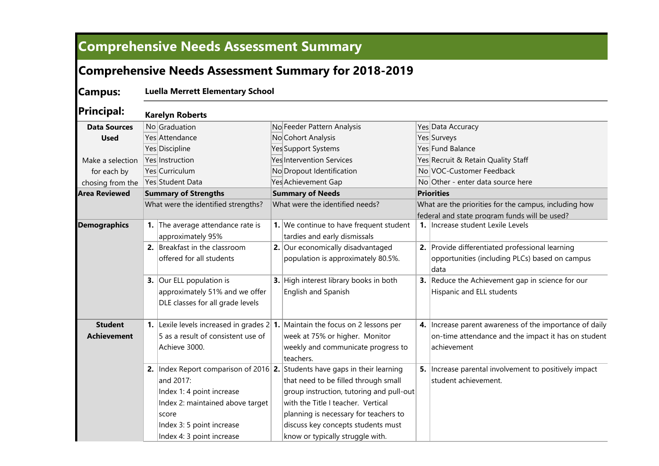## **Comprehensive Needs Assessment Summary**

### **Comprehensive Needs Assessment Summary for 2018-2019**

**Campus: Luella Merrett Elementary School**

**Principal:** No Graduation No Feeder Pattern Analysis Yes Data Accuracy Yes Attendance No Cohort Analysis Yes Surveys Yes Surveys Yes Discipline The Yes Support Systems Yes The Yes Fund Balance Yes Instruction Yes Intervention Services Yes Recruit & Retain Quality Staff Yes Curriculum No No Dropout Identification No VOC-Customer Feedback Yes Student Data Notice Achievement Gap No Other - enter data source here **1.** The average attendance rate is approximately 95% **1.** We continue to have frequent student tardies and early dismissals **1.** Increase student Lexile Levels **2.** Breakfast in the classroom offered for all students **2.** Our economically disadvantaged population is approximately 80.5%. **2.** Provide differentiated professional learning opportunities (including PLCs) based on campus data **3.** Our ELL population is approximately 51% and we offer DLE classes for all grade levels **3.** High interest library books in both English and Spanish **3.** Reduce the Achievement gap in science for our Hispanic and ELL students **1.** Lexile levels increased in grades 2 **1.** Maintain the focus on 2 lessons per 5 as a result of consistent use of Achieve 3000. week at 75% or higher. Monitor weekly and communicate progress to teachers. **4.** Increase parent awareness of the importance of daily on-time attendance and the impact it has on student achievement **2.** |Index Report comparison of 2016| **2.** Students have gaps in their learning and 2017: Index 1: 4 point increase Index 2: maintained above target score Index 3: 5 point increase Index 4: 3 point increase that need to be filled through small  $|$  group instruction, tutoring and pull-out with the Title I teacher. Vertical planning is necessary for teachers to discuss key concepts students must know or typically struggle with. **5.** Increase parental involvement to positively impact student achievement. **Demographics Student Achievement Data Sources Used** Make a selection for each by chosing from the **Area Reviewed Summary of Strengths Summary of Needs Priorities** What were the identified strengths? What were the identified needs? What are the priorities for the campus, including how federal and state program funds will be used? **Karelyn Roberts**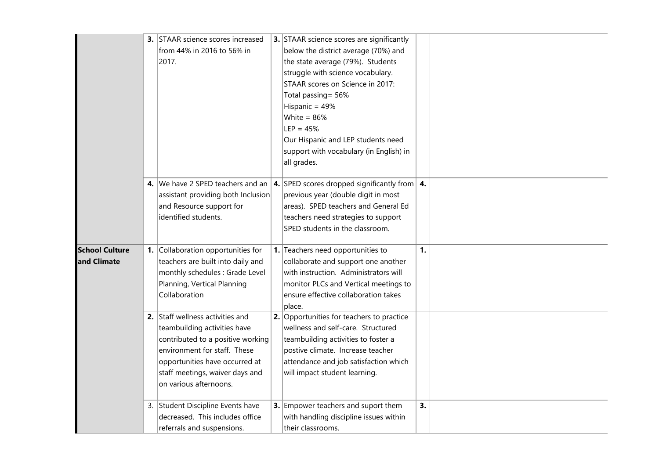|                                      | 3. STAAR science scores increased<br>from 44% in 2016 to 56% in<br>2017.                                                                                                                                                             | 3. STAAR science scores are significantly<br>below the district average (70%) and<br>the state average (79%). Students<br>struggle with science vocabulary.<br>STAAR scores on Science in 2017:<br>Total passing = 56%<br>Hispanic = 49%<br>White = $86%$<br>$LEP = 45%$<br>Our Hispanic and LEP students need<br>support with vocabulary (in English) in<br>all grades. |    |  |
|--------------------------------------|--------------------------------------------------------------------------------------------------------------------------------------------------------------------------------------------------------------------------------------|--------------------------------------------------------------------------------------------------------------------------------------------------------------------------------------------------------------------------------------------------------------------------------------------------------------------------------------------------------------------------|----|--|
|                                      | 4. We have 2 SPED teachers and an<br>assistant providing both Inclusion<br>and Resource support for<br>identified students.                                                                                                          | <b>4.</b> SPED scores dropped significantly from $\vert$ 4.<br>previous year (double digit in most<br>areas). SPED teachers and General Ed<br>teachers need strategies to support<br>SPED students in the classroom.                                                                                                                                                     |    |  |
| <b>School Culture</b><br>and Climate | 1. Collaboration opportunities for<br>teachers are built into daily and<br>monthly schedules : Grade Level<br>Planning, Vertical Planning<br>Collaboration                                                                           | 1. Teachers need opportunities to<br>collaborate and support one another<br>with instruction. Administrators will<br>monitor PLCs and Vertical meetings to<br>ensure effective collaboration takes<br>place.                                                                                                                                                             | 1. |  |
|                                      | 2. Staff wellness activities and<br>teambuilding activities have<br>contributed to a positive working<br>environment for staff. These<br>opportunities have occurred at<br>staff meetings, waiver days and<br>on various afternoons. | 2. Opportunities for teachers to practice<br>wellness and self-care. Structured<br>teambuilding activities to foster a<br>postive climate. Increase teacher<br>attendance and job satisfaction which<br>will impact student learning.                                                                                                                                    |    |  |
|                                      | 3. Student Discipline Events have<br>decreased. This includes office<br>referrals and suspensions.                                                                                                                                   | 3. Empower teachers and suport them<br>with handling discipline issues within<br>their classrooms.                                                                                                                                                                                                                                                                       | 3. |  |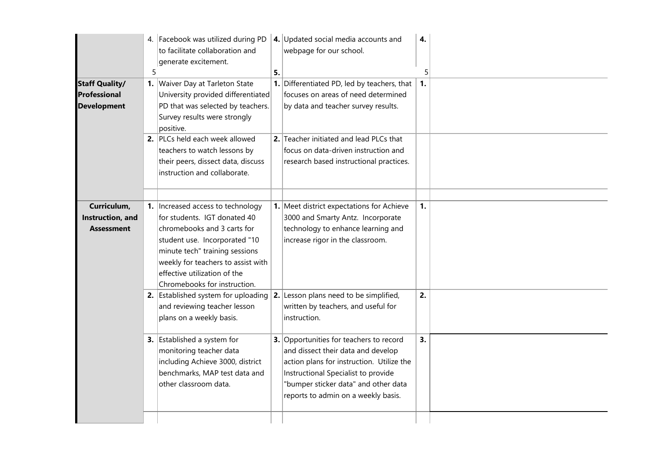| <b>Staff Quality/</b><br>Professional<br><b>Development</b> | 5 | 4. Facebook was utilized during PD<br>to facilitate collaboration and<br>generate excitement.<br>1. Waiver Day at Tarleton State<br>University provided differentiated<br>PD that was selected by teachers.<br>Survey results were strongly<br>positive.<br>2. PLCs held each week allowed<br>teachers to watch lessons by<br>their peers, dissect data, discuss<br>instruction and collaborate. | 5. | 4. Updated social media accounts and<br>webpage for our school.<br><b>1.</b> Differentiated PD, led by teachers, that $\vert$<br>focuses on areas of need determined<br>by data and teacher survey results.<br>2. Teacher initiated and lead PLCs that<br>focus on data-driven instruction and<br>research based instructional practices.         | 4.<br>$\mathbf{1}$ . | 5 |
|-------------------------------------------------------------|---|--------------------------------------------------------------------------------------------------------------------------------------------------------------------------------------------------------------------------------------------------------------------------------------------------------------------------------------------------------------------------------------------------|----|---------------------------------------------------------------------------------------------------------------------------------------------------------------------------------------------------------------------------------------------------------------------------------------------------------------------------------------------------|----------------------|---|
| Curriculum,<br>Instruction, and<br><b>Assessment</b>        |   | 1.   Increased access to technology<br>for students. IGT donated 40<br>chromebooks and 3 carts for<br>student use. Incorporated "10<br>minute tech" training sessions<br>weekly for teachers to assist with<br>effective utilization of the<br>Chromebooks for instruction.                                                                                                                      |    | 1. Meet district expectations for Achieve<br>3000 and Smarty Antz. Incorporate<br>technology to enhance learning and<br>increase rigor in the classroom.                                                                                                                                                                                          | 1.                   |   |
|                                                             |   | 2. Established system for uploading<br>and reviewing teacher lesson<br>plans on a weekly basis.<br>3. Established a system for<br>monitoring teacher data<br>including Achieve 3000, district<br>benchmarks, MAP test data and<br>other classroom data.                                                                                                                                          |    | 2. Lesson plans need to be simplified,<br>written by teachers, and useful for<br>instruction.<br>3. Opportunities for teachers to record<br>and dissect their data and develop<br>action plans for instruction. Utilize the<br>Instructional Specialist to provide<br>"bumper sticker data" and other data<br>reports to admin on a weekly basis. | 2.<br>3.             |   |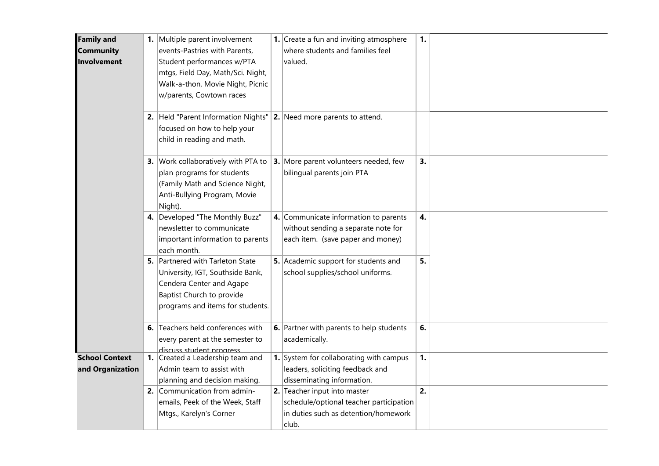| <b>Family and</b><br><b>Community</b><br>Involvement |    | 1. Multiple parent involvement<br>events-Pastries with Parents,<br>Student performances w/PTA<br>mtgs, Field Day, Math/Sci. Night,<br>Walk-a-thon, Movie Night, Picnic<br>w/parents, Cowtown races | <b>1.</b> Create a fun and inviting atmosphere<br>where students and families feel<br>valued.                            | 1. |  |
|------------------------------------------------------|----|----------------------------------------------------------------------------------------------------------------------------------------------------------------------------------------------------|--------------------------------------------------------------------------------------------------------------------------|----|--|
|                                                      |    | 2. Held "Parent Information Nights"<br>focused on how to help your<br>child in reading and math.                                                                                                   | <b>2.</b> Need more parents to attend.                                                                                   |    |  |
|                                                      |    | 3. Work collaboratively with PTA to<br>plan programs for students<br>(Family Math and Science Night,<br>Anti-Bullying Program, Movie<br>Night).                                                    | 3. More parent volunteers needed, few<br>bilingual parents join PTA                                                      | 3. |  |
|                                                      |    | 4. Developed "The Monthly Buzz"<br>newsletter to communicate<br>important information to parents<br>each month.                                                                                    | 4. Communicate information to parents<br>without sending a separate note for<br>each item. (save paper and money)        | 4. |  |
|                                                      |    | 5. Partnered with Tarleton State<br>University, IGT, Southside Bank,<br>Cendera Center and Agape<br>Baptist Church to provide<br>programs and items for students.                                  | 5. Academic support for students and<br>school supplies/school uniforms.                                                 | 5. |  |
|                                                      | 6. | Teachers held conferences with<br>every parent at the semester to<br>discuss student progress                                                                                                      | 6. Partner with parents to help students<br>academically.                                                                | 6. |  |
| <b>School Context</b><br>and Organization            |    | 1. Created a Leadership team and<br>Admin team to assist with<br>planning and decision making.                                                                                                     | 1. System for collaborating with campus<br>leaders, soliciting feedback and<br>disseminating information.                | 1. |  |
|                                                      |    | 2. Communication from admin-<br>emails, Peek of the Week, Staff<br>Mtgs., Karelyn's Corner                                                                                                         | 2. Teacher input into master<br>schedule/optional teacher participation<br>in duties such as detention/homework<br>club. | 2. |  |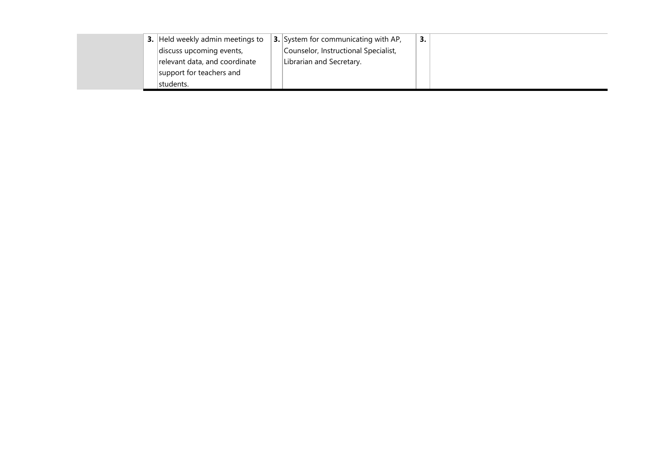|  | <b>3.</b> Held weekly admin meetings to | <b>3.</b> System for communicating with AP, | 3. |
|--|-----------------------------------------|---------------------------------------------|----|
|  | discuss upcoming events,                | Counselor, Instructional Specialist,        |    |
|  | relevant data, and coordinate           | Librarian and Secretary.                    |    |
|  | support for teachers and                |                                             |    |
|  | Istudents.                              |                                             |    |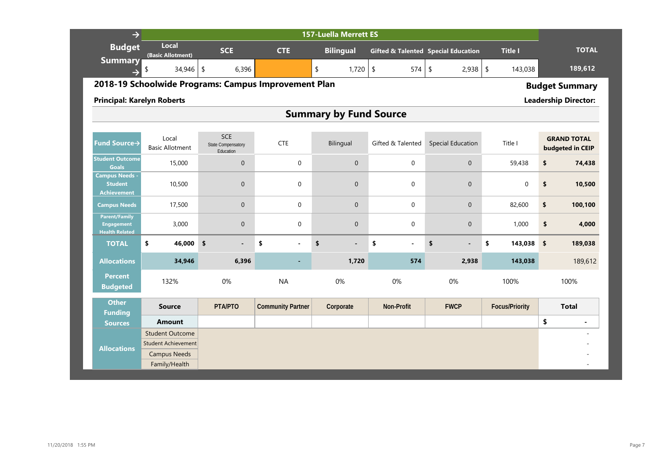| $\rightarrow$                                                      |                                                                  |                                                      |                                                      | <b>157-Luella Merrett ES</b>   |                   |                                                |                       |                                        |  |  |  |  |
|--------------------------------------------------------------------|------------------------------------------------------------------|------------------------------------------------------|------------------------------------------------------|--------------------------------|-------------------|------------------------------------------------|-----------------------|----------------------------------------|--|--|--|--|
| <b>Budget</b>                                                      | Local<br>(Basic Allotment)                                       | <b>SCE</b>                                           | <b>CTE</b>                                           | <b>Bilingual</b>               |                   | <b>Gifted &amp; Talented Special Education</b> | <b>Title I</b>        | <b>TOTAL</b>                           |  |  |  |  |
| <b>Summary</b>                                                     | 34,946                                                           | \$<br>6,396                                          |                                                      | \$<br>1,720                    | $\sqrt{2}$<br>574 | $\sqrt{2}$<br>$2,938$ \$                       | 143,038               | 189,612                                |  |  |  |  |
|                                                                    |                                                                  |                                                      | 2018-19 Schoolwide Programs: Campus Improvement Plan |                                |                   |                                                |                       | <b>Budget Summary</b>                  |  |  |  |  |
|                                                                    | <b>Leadership Director:</b><br><b>Principal: Karelyn Roberts</b> |                                                      |                                                      |                                |                   |                                                |                       |                                        |  |  |  |  |
|                                                                    |                                                                  |                                                      |                                                      | <b>Summary by Fund Source</b>  |                   |                                                |                       |                                        |  |  |  |  |
|                                                                    |                                                                  |                                                      |                                                      |                                |                   |                                                |                       |                                        |  |  |  |  |
| Fund Source→                                                       | Local<br><b>Basic Allotment</b>                                  | <b>SCE</b><br><b>State Compensatory</b><br>Education | <b>CTE</b>                                           | Bilingual                      | Gifted & Talented | <b>Special Education</b>                       | Title I               | <b>GRAND TOTAL</b><br>budgeted in CEIP |  |  |  |  |
| <b>Student Outcome</b><br><b>Goals</b>                             | 15,000                                                           | $\overline{0}$                                       | $\mathbf 0$                                          | $\Omega$                       | $\mathbf 0$       | $\mathbf{0}$                                   | 59,438                | \$<br>74,438                           |  |  |  |  |
| <b>Campus Needs -</b><br><b>Student</b><br><b>Achievement</b>      | 10,500                                                           | $\overline{0}$                                       | $\Omega$                                             | $\mathbf{0}$                   | $\Omega$          | $\mathbf{0}$                                   | $\mathbf 0$           | \$<br>10,500                           |  |  |  |  |
| <b>Campus Needs</b>                                                | 17,500                                                           | $\mathbf{0}$                                         | $\mathbf 0$                                          | $\mathbf 0$                    | $\mathbf 0$       | $\mathbf 0$                                    | 82,600                | \$<br>100,100                          |  |  |  |  |
| <b>Parent/Family</b><br><b>Engagement</b><br><b>Health Related</b> | 3,000                                                            | $\mathbf{0}$                                         | $\mathbf 0$                                          | $\mathbf{0}$                   | $\pmb{0}$         | $\mathbf 0$                                    | 1,000                 | \$<br>4,000                            |  |  |  |  |
| <b>TOTAL</b>                                                       | \$<br>46,000                                                     | \$<br>$\blacksquare$                                 | \$<br>ä,                                             | \$<br>$\overline{\phantom{a}}$ | \$<br>$\sim$      | \$<br>$\blacksquare$                           | \$<br>143,038         | \$<br>189,038                          |  |  |  |  |
| <b>Allocations</b>                                                 | 34,946                                                           | 6,396                                                |                                                      | 1,720                          | 574               | 2,938                                          | 143,038               | 189,612                                |  |  |  |  |
| <b>Percent</b><br><b>Budgeted</b>                                  | 132%                                                             | 0%                                                   | <b>NA</b>                                            | 0%                             | 0%                | 0%                                             | 100%                  | 100%                                   |  |  |  |  |
| <b>Other</b><br><b>Funding</b>                                     | <b>Source</b>                                                    | PTA/PTO                                              | <b>Community Partner</b>                             | Corporate                      | Non-Profit        | <b>FWCP</b>                                    | <b>Focus/Priority</b> | <b>Total</b>                           |  |  |  |  |
| <b>Sources</b>                                                     | <b>Amount</b>                                                    |                                                      |                                                      |                                |                   |                                                |                       | \$<br>$\blacksquare$                   |  |  |  |  |
|                                                                    | <b>Student Outcome</b>                                           |                                                      |                                                      |                                |                   |                                                |                       |                                        |  |  |  |  |
| <b>Allocations</b>                                                 | <b>Student Achievement</b>                                       |                                                      |                                                      |                                |                   |                                                |                       |                                        |  |  |  |  |
|                                                                    | <b>Campus Needs</b>                                              |                                                      |                                                      |                                |                   |                                                |                       |                                        |  |  |  |  |
|                                                                    | Family/Health                                                    |                                                      |                                                      |                                |                   |                                                |                       |                                        |  |  |  |  |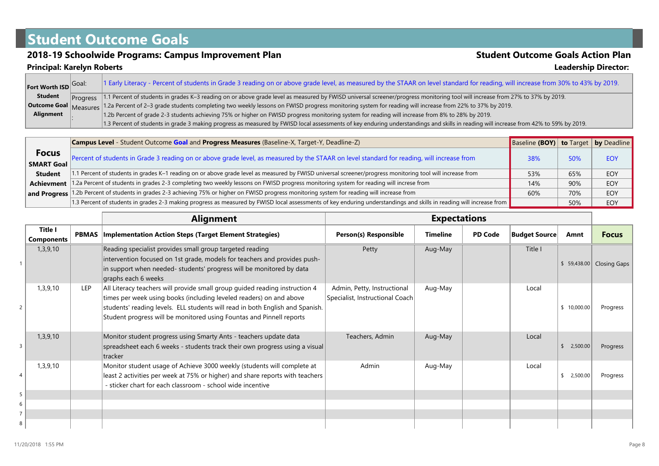## **Student Outcome Goals**

# **2018-19 Schoolwide Programs: Campus Improvement Plan Student Outcome Goals Action Plan**<br>Principal: Karelyn Roberts **Student Student Student Outcome Goals Action Plan**

**Principal: Karelyn Roberts** 

| Fort Worth ISD Goal: | 1 Early Literacy - Percent of students in Grade 3 reading on or above grade level, as measured by the STAAR on level standard for reading, will increase from 30% to 43% by 2019.       |
|----------------------|-----------------------------------------------------------------------------------------------------------------------------------------------------------------------------------------|
| <b>Student</b>       | Progress  1.1 Percent of students in grades K-3 reading on or above grade level as measured by FWISD universal screener/progress monitoring tool will increase from 27% to 37% by 2019. |
|                      | Outcome Goal Measures 1.2a Percent of 2-3 grade students completing two weekly lessons on FWISD progress monitoring system for reading will increase from 22% to 37% by 2019.           |
| Alignment            | 1.2b Percent of grade 2-3 students achieving 75% or higher on FWISD progress monitoring system for reading will increase from 8% to 28% by 2019.                                        |
|                      | 1.3 Percent of students in grade 3 making progress as measured by FWISD local assessments of key enduring understandings and skills in reading will increase from 42% to 59% by 2019.   |

|                            | Campus Level - Student Outcome Goal and Progress Measures (Baseline-X, Target-Y, Deadline-Z)                                                                         | <b>Baseline (BOY)</b> to Target by Deadline |     |            |
|----------------------------|----------------------------------------------------------------------------------------------------------------------------------------------------------------------|---------------------------------------------|-----|------------|
| <b>Focus</b><br>SMART Goal | Percent of students in Grade 3 reading on or above grade level, as measured by the STAAR on level standard for reading, will increase from                           | 38%                                         | 50% | <b>EOY</b> |
| <b>Student</b>             | 1.1 Percent of students in grades K-1 reading on or above grade level as measured by FWISD universal screener/progress monitoring tool will increase from            | 53%                                         | 65% | EOY        |
| Achievment                 | 1.2a Percent of students in grades 2-3 completing two weekly lessons on FWISD progress monitoring system for reading will increse from                               | 14%                                         | 90% | EOY        |
|                            | and Progress 1.2b Percent of students in grades 2-3 achieving 75% or higher on FWISD progress monitoring system for reading will increase from                       | 60%                                         | 70% | EOY        |
|                            | 1.3 Percent of students in grades 2-3 making progress as measured by FWISD local assessments of key enduring understandings and skills in reading will increase from |                                             | 50% | <b>EOY</b> |

|                              |            | <b>Alignment</b>                                                                                                                                                                                                                                                                                            | <b>Expectations</b>                                            |                 |                |                      |             |                           |
|------------------------------|------------|-------------------------------------------------------------------------------------------------------------------------------------------------------------------------------------------------------------------------------------------------------------------------------------------------------------|----------------------------------------------------------------|-----------------|----------------|----------------------|-------------|---------------------------|
| Title I<br><b>Components</b> |            | <b>PBMAS</b>   Implementation Action Steps (Target Element Strategies)                                                                                                                                                                                                                                      | Person(s) Responsible                                          | <b>Timeline</b> | <b>PD Code</b> | <b>Budget Source</b> | Amnt        | <b>Focus</b>              |
| 1,3,9,10                     |            | Reading specialist provides small group targeted reading<br>intervention focused on 1st grade, models for teachers and provides push-<br>in support when needed- students' progress will be monitored by data<br>graphs each 6 weeks                                                                        | Petty                                                          | Aug-May         |                | Title I              |             | \$ 59,438.00 Closing Gaps |
| 1,3,9,10                     | <b>LEP</b> | All Literacy teachers will provide small group guided reading instruction 4<br>times per week using books (including leveled readers) on and above<br>students' reading levels. ELL students will read in both English and Spanish.<br>Student progress will be monitored using Fountas and Pinnell reports | Admin, Petty, Instructional<br>Specialist, Instructional Coach | Aug-May         |                | Local                | \$10,000.00 | Progress                  |
| 1,3,9,10                     |            | Monitor student progress using Smarty Ants - teachers update data<br>spreadsheet each 6 weeks - students track their own progress using a visual<br>tracker                                                                                                                                                 | Teachers, Admin                                                | Aug-May         |                | Local                | 2,500.00    | Progress                  |
| 1,3,9,10                     |            | Monitor student usage of Achieve 3000 weekly (students will complete at<br>least 2 activities per week at 75% or higher) and share reports with teachers<br>- sticker chart for each classroom - school wide incentive                                                                                      | Admin                                                          | Aug-May         |                | Local                | 2,500.00    | Progress                  |
|                              |            |                                                                                                                                                                                                                                                                                                             |                                                                |                 |                |                      |             |                           |
|                              |            |                                                                                                                                                                                                                                                                                                             |                                                                |                 |                |                      |             |                           |
|                              |            |                                                                                                                                                                                                                                                                                                             |                                                                |                 |                |                      |             |                           |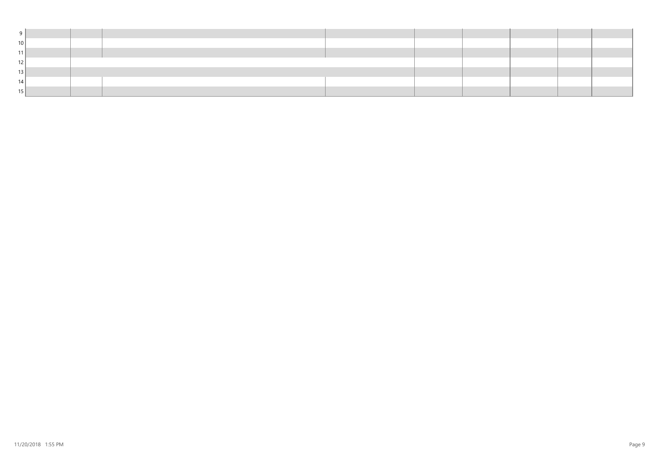| 10   |  |  |  |  |  |
|------|--|--|--|--|--|
|      |  |  |  |  |  |
|      |  |  |  |  |  |
|      |  |  |  |  |  |
| - 14 |  |  |  |  |  |
|      |  |  |  |  |  |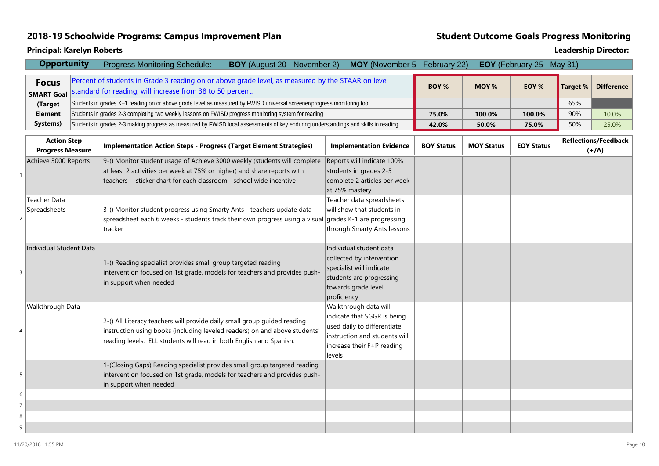### **2018-19 Schoolwide Programs: Campus Improvement Plan Student Outcome Goals Progress Monitoring**

|   | <b>Opportunity</b>                            | <b>Progress Monitoring Schedule:</b><br><b>BOY</b> (August 20 - November 2)                                                                                                                                                   | MOY (November 5 - February 22)                                                                                                                               |                   |                   | EOY (February 25 - May 31) |                 |                                             |
|---|-----------------------------------------------|-------------------------------------------------------------------------------------------------------------------------------------------------------------------------------------------------------------------------------|--------------------------------------------------------------------------------------------------------------------------------------------------------------|-------------------|-------------------|----------------------------|-----------------|---------------------------------------------|
|   | <b>Focus</b><br><b>SMART Goal</b>             | Percent of students in Grade 3 reading on or above grade level, as measured by the STAAR on level<br>standard for reading, will increase from 38 to 50 percent.                                                               |                                                                                                                                                              | BOY %             | MOY %             | EOY %                      | <b>Target %</b> | <b>Difference</b>                           |
|   | (Target                                       | Students in grades K-1 reading on or above grade level as measured by FWISD universal screener/progress monitoring tool                                                                                                       |                                                                                                                                                              |                   |                   |                            | 65%             |                                             |
|   | <b>Element</b>                                | Students in grades 2-3 completing two weekly lessons on FWISD progress monitoring system for reading                                                                                                                          |                                                                                                                                                              | 75.0%             | 100.0%            | 100.0%                     | 90%             | 10.0%                                       |
|   | Systems)                                      | Students in grades 2-3 making progress as measured by FWISD local assessments of key enduring understandings and skills in reading                                                                                            |                                                                                                                                                              | 42.0%             | 50.0%             | 75.0%                      | 50%             | 25.0%                                       |
|   | <b>Action Step</b><br><b>Progress Measure</b> | Implementation Action Steps - Progress (Target Element Strategies)                                                                                                                                                            | <b>Implementation Evidence</b>                                                                                                                               | <b>BOY Status</b> | <b>MOY Status</b> | <b>EOY Status</b>          |                 | <b>Reflections/Feedback</b><br>$(+/\Delta)$ |
|   | Achieve 3000 Reports                          | 9-() Monitor student usage of Achieve 3000 weekly (students will complete<br>at least 2 activities per week at 75% or higher) and share reports with<br>teachers - sticker chart for each classroom - school wide incentive   | Reports will indicate 100%<br>students in grades 2-5<br>complete 2 articles per week<br>at 75% mastery                                                       |                   |                   |                            |                 |                                             |
|   | Teacher Data<br>Spreadsheets                  | 3-() Monitor student progress using Smarty Ants - teachers update data<br>spreadsheet each 6 weeks - students track their own progress using a visual grades K-1 are progressing<br>tracker                                   | Teacher data spreadsheets<br>will show that students in<br>through Smarty Ants lessons                                                                       |                   |                   |                            |                 |                                             |
|   | Individual Student Data                       | 1-() Reading specialist provides small group targeted reading<br>intervention focused on 1st grade, models for teachers and provides push-<br>in support when needed                                                          | Individual student data<br>collected by intervention<br>specialist will indicate<br>students are progressing<br>towards grade level<br>proficiency           |                   |                   |                            |                 |                                             |
|   | Walkthrough Data                              | 2-() All Literacy teachers will provide daily small group guided reading<br>instruction using books (including leveled readers) on and above students'<br>reading levels. ELL students will read in both English and Spanish. | Walkthrough data will<br>indicate that SGGR is being<br>used daily to differentiate<br>instruction and students will<br>increase their F+P reading<br>levels |                   |                   |                            |                 |                                             |
|   |                                               | 1-(Closing Gaps) Reading specialist provides small group targeted reading<br>intervention focused on 1st grade, models for teachers and provides push-<br>in support when needed                                              |                                                                                                                                                              |                   |                   |                            |                 |                                             |
| 6 |                                               |                                                                                                                                                                                                                               |                                                                                                                                                              |                   |                   |                            |                 |                                             |
|   |                                               |                                                                                                                                                                                                                               |                                                                                                                                                              |                   |                   |                            |                 |                                             |
| 8 |                                               |                                                                                                                                                                                                                               |                                                                                                                                                              |                   |                   |                            |                 |                                             |
| 9 |                                               |                                                                                                                                                                                                                               |                                                                                                                                                              |                   |                   |                            |                 |                                             |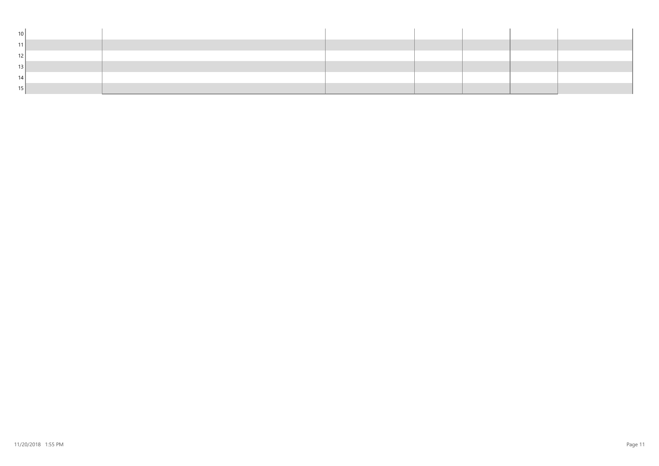| 10 <sup>1</sup> |  |  |  |  |
|-----------------|--|--|--|--|
| 11              |  |  |  |  |
| 12              |  |  |  |  |
| 13              |  |  |  |  |
| 14              |  |  |  |  |
| 15              |  |  |  |  |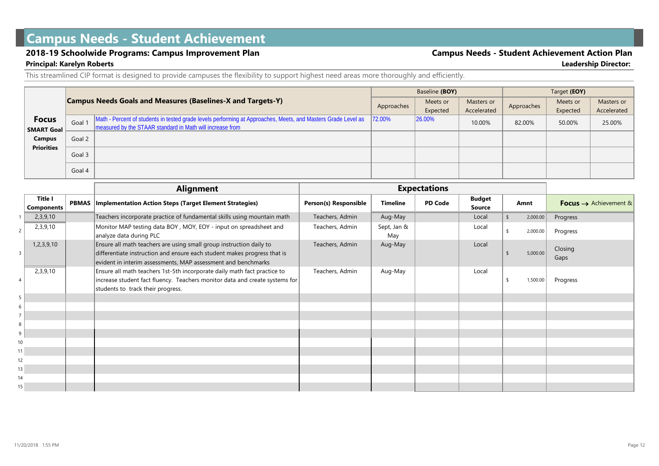## **Campus Needs - Student Achievement**

#### **2018-19 Schoolwide Programs: Campus Improvement Plan Campus Needs - Student Achievement Action Plan**

## **Principal: Karelyn Roberts Leadership Director:**

This streamlined CIP format is designed to provide campuses the flexibility to support highest need areas more thoroughly and efficiently.

|                   |        |                                                                                                                                                                              | Baseline (BOY) |          |             | Target (EOY) |          |             |  |
|-------------------|--------|------------------------------------------------------------------------------------------------------------------------------------------------------------------------------|----------------|----------|-------------|--------------|----------|-------------|--|
|                   |        | <b>Campus Needs Goals and Measures (Baselines-X and Targets-Y)</b>                                                                                                           | Approaches     | Meets or | Masters or  | Approaches   | Meets or | Masters or  |  |
|                   |        |                                                                                                                                                                              |                | Expected | Accelerated |              | Expected | Accelerated |  |
| <b>Focus</b>      | Goal 1 | Math - Percent of students in tested grade levels performing at Approaches, Meets, and Masters Grade Level as<br>I measured by the STAAR standard in Math will increase from | 72.00%         | 26.00%   | 10.00%      | 82.00%       | 50.00%   | 25.00%      |  |
| <b>SMART Goal</b> |        |                                                                                                                                                                              |                |          |             |              |          |             |  |
| Campus            | Goal 2 |                                                                                                                                                                              |                |          |             |              |          |             |  |
| <b>Priorities</b> | Goal 3 |                                                                                                                                                                              |                |          |             |              |          |             |  |
|                   |        |                                                                                                                                                                              |                |          |             |              |          |             |  |
|                   | Goal 4 |                                                                                                                                                                              |                |          |             |              |          |             |  |

|                 |                              | <b>Alignment</b>                                                                                                                                                                                                 |                       |                    | <b>Expectations</b> |                         |     |          |                                   |
|-----------------|------------------------------|------------------------------------------------------------------------------------------------------------------------------------------------------------------------------------------------------------------|-----------------------|--------------------|---------------------|-------------------------|-----|----------|-----------------------------------|
|                 | <b>Title I</b><br>Components | <b>PBMAS</b>   Implementation Action Steps (Target Element Strategies)                                                                                                                                           | Person(s) Responsible | <b>Timeline</b>    | <b>PD Code</b>      | <b>Budget</b><br>Source |     | Amnt     | Focus $\rightarrow$ Achievement & |
|                 | 2,3,9,10                     | Teachers incorporate practice of fundamental skills using mountain math                                                                                                                                          | Teachers, Admin       | Aug-May            |                     | Local                   | \$  | 2,000.00 | Progress                          |
|                 | 2,3,9,10                     | Monitor MAP testing data BOY, MOY, EOY - input on spreadsheet and<br>analyze data during PLC                                                                                                                     | Teachers, Admin       | Sept, Jan &<br>May |                     | Local                   | \$  | 2,000.00 | Progress                          |
| 3 <sup>1</sup>  | 1,2,3,9,10                   | Ensure all math teachers are using small group instruction daily to<br>differentiate instruction and ensure each student makes progress that is<br>evident in interim assessments, MAP assessment and benchmarks | Teachers, Admin       | Aug-May            |                     | Local                   | \$  | 5,000.00 | Closing<br>Gaps                   |
| 4               | 2,3,9,10                     | Ensure all math teachers 1st-5th incorporate daily math fact practice to<br>increase student fact fluency. Teachers monitor data and create systems for<br>students to track their progress.                     | Teachers, Admin       | Aug-May            |                     | Local                   | -\$ | 1,500.00 | Progress                          |
| 5 <sup>1</sup>  |                              |                                                                                                                                                                                                                  |                       |                    |                     |                         |     |          |                                   |
| 6 <sup>1</sup>  |                              |                                                                                                                                                                                                                  |                       |                    |                     |                         |     |          |                                   |
| 7 <sup>1</sup>  |                              |                                                                                                                                                                                                                  |                       |                    |                     |                         |     |          |                                   |
| 8 <sup>1</sup>  |                              |                                                                                                                                                                                                                  |                       |                    |                     |                         |     |          |                                   |
| 9               |                              |                                                                                                                                                                                                                  |                       |                    |                     |                         |     |          |                                   |
| 10 <sub>1</sub> |                              |                                                                                                                                                                                                                  |                       |                    |                     |                         |     |          |                                   |
| 11              |                              |                                                                                                                                                                                                                  |                       |                    |                     |                         |     |          |                                   |
| 12              |                              |                                                                                                                                                                                                                  |                       |                    |                     |                         |     |          |                                   |
| 13              |                              |                                                                                                                                                                                                                  |                       |                    |                     |                         |     |          |                                   |
| 14              |                              |                                                                                                                                                                                                                  |                       |                    |                     |                         |     |          |                                   |
| 15              |                              |                                                                                                                                                                                                                  |                       |                    |                     |                         |     |          |                                   |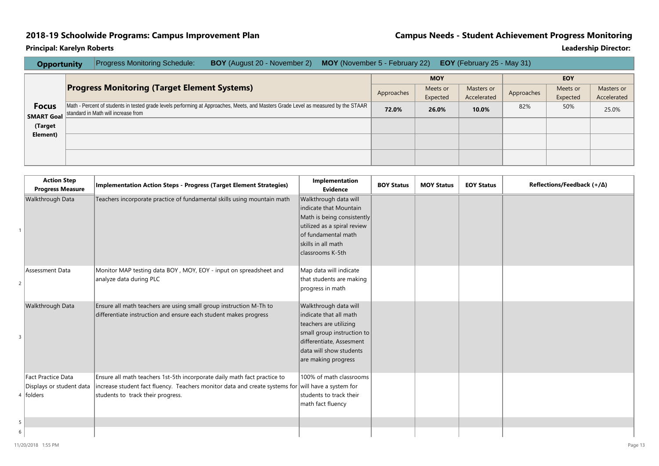### **2018-19 Schoolwide Programs: Campus Improvement Plan Campus Needs - Student Achievement Progress Monitoring**

| <b>Opportunity</b> | <b>Progress Monitoring Schedule:</b> | <b>BOY</b> (August 20 - November 2) |                                                     |       |                                                                                                                                                   |                                |     |                                                 |             |
|--------------------|--------------------------------------|-------------------------------------|-----------------------------------------------------|-------|---------------------------------------------------------------------------------------------------------------------------------------------------|--------------------------------|-----|-------------------------------------------------|-------------|
|                    |                                      |                                     |                                                     |       | <b>MOY</b>                                                                                                                                        |                                |     | <b>EOY</b>                                      |             |
|                    |                                      |                                     |                                                     |       | Meets or                                                                                                                                          | Masters or                     |     | Meets or                                        | Masters or  |
|                    |                                      |                                     |                                                     |       | Expected                                                                                                                                          | Accelerated                    |     | Expected                                        | Accelerated |
|                    |                                      |                                     |                                                     | 72.0% | 26.0%                                                                                                                                             | 10.0%                          | 82% | 50%                                             | 25.0%       |
|                    |                                      |                                     |                                                     |       |                                                                                                                                                   |                                |     |                                                 |             |
|                    |                                      |                                     |                                                     |       |                                                                                                                                                   |                                |     |                                                 |             |
|                    |                                      |                                     |                                                     |       |                                                                                                                                                   |                                |     |                                                 |             |
|                    |                                      |                                     |                                                     |       |                                                                                                                                                   |                                |     |                                                 |             |
|                    |                                      |                                     |                                                     |       |                                                                                                                                                   |                                |     |                                                 |             |
|                    |                                      | standard in Math will increase from | <b>Progress Monitoring (Target Element Systems)</b> |       | Approaches<br>Math - Percent of students in tested grade levels performing at Approaches, Meets, and Masters Grade Level as measured by the STAAR | MOY (November 5 - February 22) |     | <b>EOY</b> (February 25 - May 31)<br>Approaches |             |

|   | <b>Action Step</b>       | <b>Implementation Action Steps - Progress (Target Element Strategies)</b>                          | Implementation              | <b>BOY Status</b> | <b>MOY Status</b> | <b>EOY Status</b> | Reflections/Feedback $(+/\Delta)$ |
|---|--------------------------|----------------------------------------------------------------------------------------------------|-----------------------------|-------------------|-------------------|-------------------|-----------------------------------|
|   | <b>Progress Measure</b>  |                                                                                                    | <b>Evidence</b>             |                   |                   |                   |                                   |
|   | Walkthrough Data         | Teachers incorporate practice of fundamental skills using mountain math                            | Walkthrough data will       |                   |                   |                   |                                   |
|   |                          |                                                                                                    | indicate that Mountain      |                   |                   |                   |                                   |
|   |                          |                                                                                                    | Math is being consistently  |                   |                   |                   |                                   |
|   |                          |                                                                                                    | utilized as a spiral review |                   |                   |                   |                                   |
|   |                          |                                                                                                    | of fundamental math         |                   |                   |                   |                                   |
|   |                          |                                                                                                    | skills in all math          |                   |                   |                   |                                   |
|   |                          |                                                                                                    | classrooms K-5th            |                   |                   |                   |                                   |
|   |                          |                                                                                                    |                             |                   |                   |                   |                                   |
|   | Assessment Data          | Monitor MAP testing data BOY, MOY, EOY - input on spreadsheet and                                  | Map data will indicate      |                   |                   |                   |                                   |
| 2 |                          | analyze data during PLC                                                                            | that students are making    |                   |                   |                   |                                   |
|   |                          |                                                                                                    | progress in math            |                   |                   |                   |                                   |
|   |                          |                                                                                                    |                             |                   |                   |                   |                                   |
|   | Walkthrough Data         | Ensure all math teachers are using small group instruction M-Th to                                 | Walkthrough data will       |                   |                   |                   |                                   |
|   |                          | differentiate instruction and ensure each student makes progress                                   | indicate that all math      |                   |                   |                   |                                   |
|   |                          |                                                                                                    | teachers are utilizing      |                   |                   |                   |                                   |
|   |                          |                                                                                                    | small group instruction to  |                   |                   |                   |                                   |
|   |                          |                                                                                                    | differentiate, Assesment    |                   |                   |                   |                                   |
|   |                          |                                                                                                    | data will show students     |                   |                   |                   |                                   |
|   |                          |                                                                                                    | are making progress         |                   |                   |                   |                                   |
|   |                          |                                                                                                    |                             |                   |                   |                   |                                   |
|   | Fact Practice Data       | Ensure all math teachers 1st-5th incorporate daily math fact practice to                           | 100% of math classrooms     |                   |                   |                   |                                   |
|   | Displays or student data | increase student fact fluency. Teachers monitor data and create systems for will have a system for |                             |                   |                   |                   |                                   |
|   | 4 folders                | students to track their progress.                                                                  | students to track their     |                   |                   |                   |                                   |
|   |                          |                                                                                                    | math fact fluency           |                   |                   |                   |                                   |
|   |                          |                                                                                                    |                             |                   |                   |                   |                                   |
| 5 |                          |                                                                                                    |                             |                   |                   |                   |                                   |
| 6 |                          |                                                                                                    |                             |                   |                   |                   |                                   |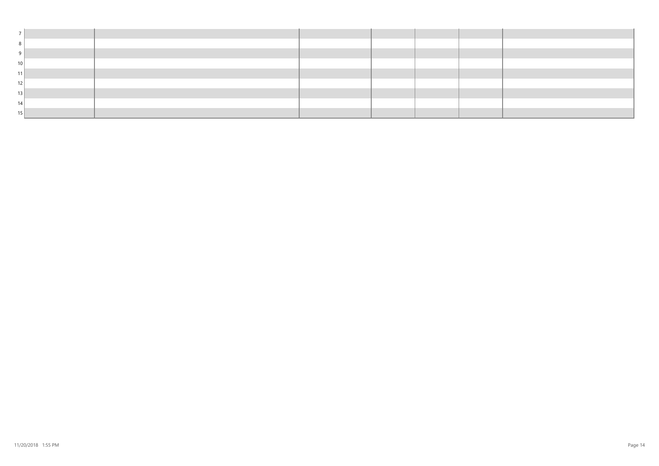| 10 <sup>1</sup> |  |  |  |
|-----------------|--|--|--|
| 11              |  |  |  |
| 12              |  |  |  |
| 13              |  |  |  |
| 14              |  |  |  |
| 15              |  |  |  |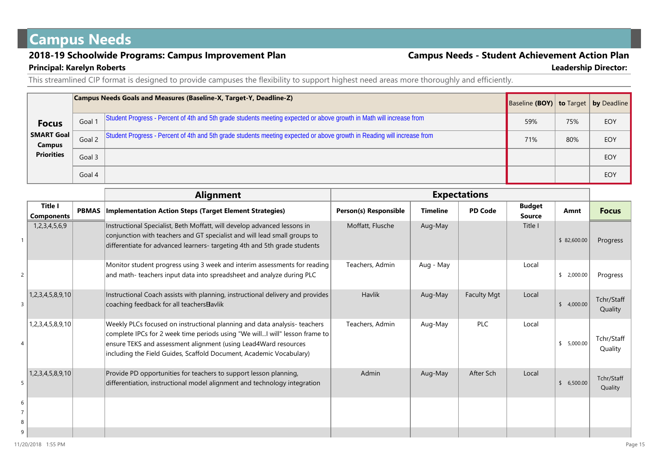## **Campus Needs**

### **2018-19 Schoolwide Programs: Campus Improvement Plan Campus Needs - Student Achievement Action Plan Principal: Karelyn Roberts Leadership Director:**

This streamlined CIP format is designed to provide campuses the flexibility to support highest need areas more thoroughly and efficiently.

|                                    |        | Campus Needs Goals and Measures (Baseline-X, Target-Y, Deadline-Z)                                                      | Baseline (BOY)   to Target   by Deadline |     |     |
|------------------------------------|--------|-------------------------------------------------------------------------------------------------------------------------|------------------------------------------|-----|-----|
| <b>Focus</b>                       | Goal 1 | Student Progress - Percent of 4th and 5th grade students meeting expected or above growth in Math will increase from    | 59%                                      | 75% | EOY |
| <b>SMART Goal</b><br><b>Campus</b> | Goal 2 | Student Progress - Percent of 4th and 5th grade students meeting expected or above growth in Reading will increase from | 71%                                      | 80% | EOY |
| <b>Priorities</b>                  | Goal 3 |                                                                                                                         |                                          |     | EOY |
|                                    | Goal 4 |                                                                                                                         |                                          |     | EOY |

|   |                              |              | <b>Alignment</b>                                                                                                                                                                                                                                                                                  |                       |                 | <b>Expectations</b> |                                |             |                       |
|---|------------------------------|--------------|---------------------------------------------------------------------------------------------------------------------------------------------------------------------------------------------------------------------------------------------------------------------------------------------------|-----------------------|-----------------|---------------------|--------------------------------|-------------|-----------------------|
|   | Title I<br><b>Components</b> | <b>PBMAS</b> | <b>Implementation Action Steps (Target Element Strategies)</b>                                                                                                                                                                                                                                    | Person(s) Responsible | <b>Timeline</b> | <b>PD Code</b>      | <b>Budget</b><br><b>Source</b> | Amnt        | <b>Focus</b>          |
|   | 1,2,3,4,5,6,9                |              | Instructional Specialist, Beth Moffatt, will develop advanced lessons in<br>conjunction with teachers and GT specialist and will lead small groups to<br>differentiate for advanced learners- targeting 4th and 5th grade students                                                                | Moffatt, Flusche      | Aug-May         |                     | Title I                        | \$82,600.00 | Progress              |
|   |                              |              | Monitor student progress using 3 week and interim assessments for reading<br>and math- teachers input data into spreadsheet and analyze during PLC                                                                                                                                                | Teachers, Admin       | Aug - May       |                     | Local                          | \$2,000.00  | Progress              |
| 3 | 1,2,3,4,5,8,9,10             |              | Instructional Coach assists with planning, instructional delivery and provides<br>coaching feedback for all teachers Bavlik                                                                                                                                                                       | <b>Havlik</b>         | Aug-May         | <b>Faculty Mgt</b>  | Local                          | \$4,000.00  | Tchr/Staff<br>Quality |
|   | 1,2,3,4,5,8,9,10             |              | Weekly PLCs focused on instructional planning and data analysis-teachers<br>complete IPCs for 2 week time periods using "We willI will" lesson frame to<br>ensure TEKS and assessment alignment (using Lead4Ward resources<br>including the Field Guides, Scaffold Document, Academic Vocabulary) | Teachers, Admin       | Aug-May         | <b>PLC</b>          | Local                          | \$5,000.00  | Tchr/Staff<br>Quality |
| 5 | 1,2,3,4,5,8,9,10             |              | Provide PD opportunities for teachers to support lesson planning,<br>differentiation, instructional model alignment and technology integration                                                                                                                                                    | Admin                 | Aug-May         | After Sch           | Local                          | \$6,500.00  | Tchr/Staff<br>Quality |
| 6 |                              |              |                                                                                                                                                                                                                                                                                                   |                       |                 |                     |                                |             |                       |
|   |                              |              |                                                                                                                                                                                                                                                                                                   |                       |                 |                     |                                |             |                       |
| 8 |                              |              |                                                                                                                                                                                                                                                                                                   |                       |                 |                     |                                |             |                       |
| 9 |                              |              |                                                                                                                                                                                                                                                                                                   |                       |                 |                     |                                |             |                       |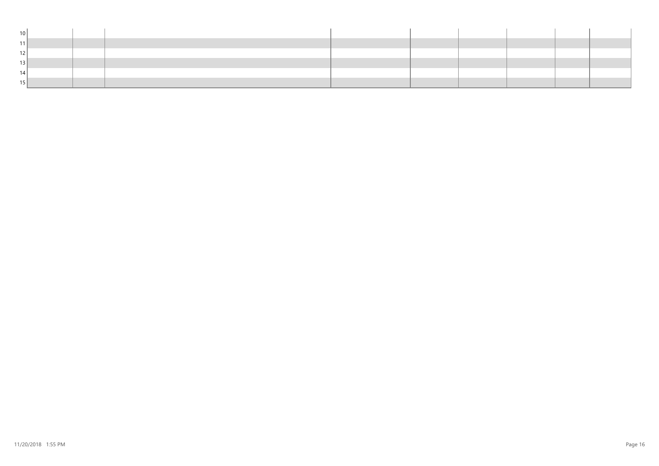| 10 <sup>1</sup> |  |  |  |  |  |
|-----------------|--|--|--|--|--|
|                 |  |  |  |  |  |
|                 |  |  |  |  |  |
|                 |  |  |  |  |  |
|                 |  |  |  |  |  |
|                 |  |  |  |  |  |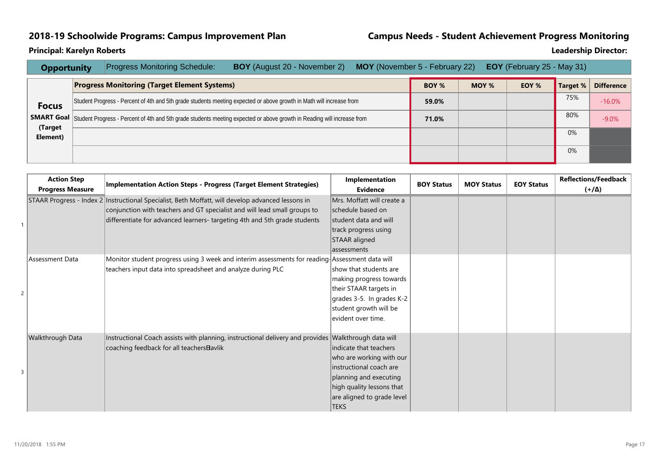### **2018-19 Schoolwide Programs: Campus Improvement Plan Campus Needs - Student Achievement Progress Monitoring**

| <b>Opportunity</b>  | <b>Progress Monitoring Schedule:</b>                | <b>BOY</b> (August 20 - November 2)                                                                                                       | <b>MOY</b> (November 5 - February 22) |              |       | <b>EOY</b> (February 25 - May 31) |          |                   |
|---------------------|-----------------------------------------------------|-------------------------------------------------------------------------------------------------------------------------------------------|---------------------------------------|--------------|-------|-----------------------------------|----------|-------------------|
|                     | <b>Progress Monitoring (Target Element Systems)</b> |                                                                                                                                           |                                       | <b>BOY %</b> | MOY % | EOY %                             | Target % | <b>Difference</b> |
| <b>Focus</b>        |                                                     | Student Progress - Percent of 4th and 5th grade students meeting expected or above growth in Math will increase from                      |                                       | 59.0%        |       |                                   | 75%      | $-16.0%$          |
|                     |                                                     | <b>SMART Goal</b> Student Progress - Percent of 4th and 5th grade students meeting expected or above growth in Reading will increase from |                                       | 71.0%        |       |                                   | 80%      | $-9.0%$           |
| (Target<br>Element) |                                                     |                                                                                                                                           |                                       |              |       |                                   | 0%       |                   |
|                     |                                                     |                                                                                                                                           |                                       |              |       |                                   | 0%       |                   |

| <b>Action Step</b><br><b>Progress Measure</b> | Implementation Action Steps - Progress (Target Element Strategies)                                                                                                               | Implementation<br><b>Evidence</b>                                                                                                                                                 | <b>BOY Status</b> | <b>MOY Status</b> | <b>EOY Status</b> | <b>Reflections/Feedback</b><br>$(4/\Delta)$ |
|-----------------------------------------------|----------------------------------------------------------------------------------------------------------------------------------------------------------------------------------|-----------------------------------------------------------------------------------------------------------------------------------------------------------------------------------|-------------------|-------------------|-------------------|---------------------------------------------|
|                                               | STAAR Progress - Index 2   Instructional Specialist, Beth Moffatt, will develop advanced lessons in<br>conjunction with teachers and GT specialist and will lead small groups to | Mrs. Moffatt will create a<br>schedule based on                                                                                                                                   |                   |                   |                   |                                             |
|                                               | differentiate for advanced learners- targeting 4th and 5th grade students                                                                                                        | student data and will<br>track progress using<br>STAAR aligned<br>assessments                                                                                                     |                   |                   |                   |                                             |
| Assessment Data                               | Monitor student progress using 3 week and interim assessments for reading Assessment data will<br>teachers input data into spreadsheet and analyze during PLC                    | show that students are<br>making progress towards<br>their STAAR targets in<br>grades 3-5. In grades K-2<br>student growth will be<br>evident over time.                          |                   |                   |                   |                                             |
| Walkthrough Data                              | Instructional Coach assists with planning, instructional delivery and provides Walkthrough data will<br>coaching feedback for all teachers Bavlik                                | indicate that teachers<br>who are working with our<br>instructional coach are<br>planning and executing<br>high quality lessons that<br>are aligned to grade level<br><b>TEKS</b> |                   |                   |                   |                                             |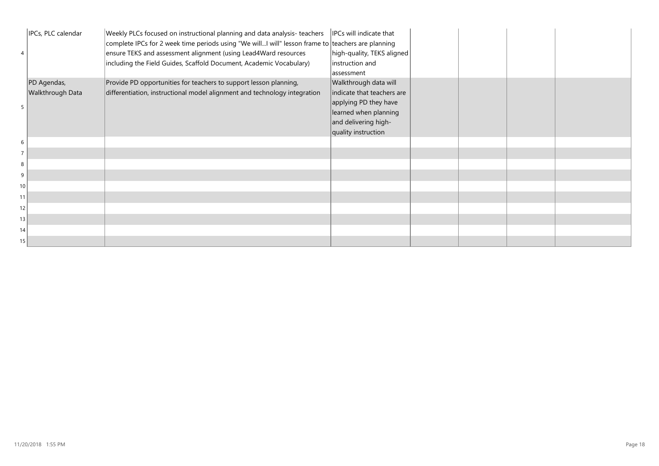|                 | IPCs, PLC calendar | Weekly PLCs focused on instructional planning and data analysis-teachers<br>complete IPCs for 2 week time periods using "We willI will" lesson frame to teachers are planning<br>ensure TEKS and assessment alignment (using Lead4Ward resources<br>including the Field Guides, Scaffold Document, Academic Vocabulary) | IPCs will indicate that<br>high-quality, TEKS aligned<br>instruction and<br>assessment |  |  |
|-----------------|--------------------|-------------------------------------------------------------------------------------------------------------------------------------------------------------------------------------------------------------------------------------------------------------------------------------------------------------------------|----------------------------------------------------------------------------------------|--|--|
|                 | PD Agendas,        | Provide PD opportunities for teachers to support lesson planning,                                                                                                                                                                                                                                                       | Walkthrough data will                                                                  |  |  |
|                 | Walkthrough Data   | differentiation, instructional model alignment and technology integration                                                                                                                                                                                                                                               | indicate that teachers are                                                             |  |  |
|                 |                    |                                                                                                                                                                                                                                                                                                                         | applying PD they have<br>learned when planning                                         |  |  |
|                 |                    |                                                                                                                                                                                                                                                                                                                         | and delivering high-                                                                   |  |  |
|                 |                    |                                                                                                                                                                                                                                                                                                                         | quality instruction                                                                    |  |  |
| 6               |                    |                                                                                                                                                                                                                                                                                                                         |                                                                                        |  |  |
| $\overline{7}$  |                    |                                                                                                                                                                                                                                                                                                                         |                                                                                        |  |  |
| 8               |                    |                                                                                                                                                                                                                                                                                                                         |                                                                                        |  |  |
| 9               |                    |                                                                                                                                                                                                                                                                                                                         |                                                                                        |  |  |
| 10              |                    |                                                                                                                                                                                                                                                                                                                         |                                                                                        |  |  |
| 11              |                    |                                                                                                                                                                                                                                                                                                                         |                                                                                        |  |  |
| 2               |                    |                                                                                                                                                                                                                                                                                                                         |                                                                                        |  |  |
| 13              |                    |                                                                                                                                                                                                                                                                                                                         |                                                                                        |  |  |
| 14 <sub>1</sub> |                    |                                                                                                                                                                                                                                                                                                                         |                                                                                        |  |  |
| 15 <sup>1</sup> |                    |                                                                                                                                                                                                                                                                                                                         |                                                                                        |  |  |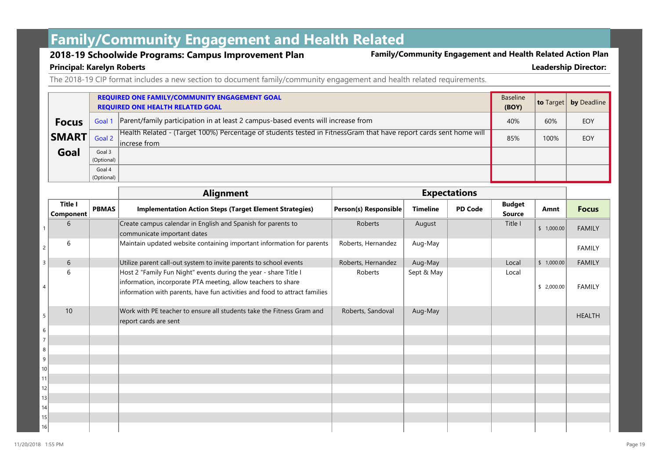# **Family/Community Engagement and Health Related**

**2018-19 Schoolwide Programs: Campus Improvement Plan Family/Community Engagement and Health Related Action Plan**

#### **Principal: Karelyn Roberts Leadership Director:**

The 2018-19 CIP format includes a new section to document family/community engagement and health related requirements.

|              |            | <b>REQUIRED ONE FAMILY/COMMUNITY ENGAGEMENT GOAL</b><br><b>REQUIRED ONE HEALTH RELATED GOAL</b>                                    | Baseline<br>(BOY) | <b>to</b> Target | by Deadline |
|--------------|------------|------------------------------------------------------------------------------------------------------------------------------------|-------------------|------------------|-------------|
| <b>Focus</b> |            | Goal 1 Parent/family participation in at least 2 campus-based events will increase from                                            | 40%               | 60%              | EOY         |
| <b>SMART</b> | Goal 2     | Health Related - (Target 100%) Percentage of students tested in FitnessGram that have report cards sent home will<br>lincrese from |                   | 100%             | EOY         |
| Goal         | Goal 3     |                                                                                                                                    |                   |                  |             |
|              | (Optional) |                                                                                                                                    |                   |                  |             |
|              | Goal 4     |                                                                                                                                    |                   |                  |             |
|              | (Optional) |                                                                                                                                    |                   |                  |             |

|                 |                             |              | <b>Alignment</b>                                                                                                                                                                                                | <b>Expectations</b>   |                 |                |                                |            |               |
|-----------------|-----------------------------|--------------|-----------------------------------------------------------------------------------------------------------------------------------------------------------------------------------------------------------------|-----------------------|-----------------|----------------|--------------------------------|------------|---------------|
|                 | <b>Title I</b><br>Component | <b>PBMAS</b> | <b>Implementation Action Steps (Target Element Strategies)</b>                                                                                                                                                  | Person(s) Responsible | <b>Timeline</b> | <b>PD Code</b> | <b>Budget</b><br><b>Source</b> | Amnt       | <b>Focus</b>  |
|                 | 6                           |              | Create campus calendar in English and Spanish for parents to<br>communicate important dates                                                                                                                     | Roberts               | August          |                | Title I                        | \$1,000.00 | <b>FAMILY</b> |
| $\overline{c}$  | 6                           |              | Maintain updated website containing important information for parents                                                                                                                                           | Roberts, Hernandez    | Aug-May         |                |                                |            | <b>FAMILY</b> |
| 3               | 6                           |              | Utilize parent call-out system to invite parents to school events                                                                                                                                               | Roberts, Hernandez    | Aug-May         |                | Local                          | \$1,000.00 | <b>FAMILY</b> |
|                 | 6                           |              | Host 2 "Family Fun Night" events during the year - share Title I<br>information, incorporate PTA meeting, allow teachers to share<br>information with parents, have fun activities and food to attract families | Roberts               | Sept & May      |                | Local                          | \$2,000.00 | <b>FAMILY</b> |
| 5               | 10                          |              | Work with PE teacher to ensure all students take the Fitness Gram and<br>report cards are sent                                                                                                                  | Roberts, Sandoval     | Aug-May         |                |                                |            | <b>HEALTH</b> |
| 6               |                             |              |                                                                                                                                                                                                                 |                       |                 |                |                                |            |               |
| $\overline{7}$  |                             |              |                                                                                                                                                                                                                 |                       |                 |                |                                |            |               |
| 8               |                             |              |                                                                                                                                                                                                                 |                       |                 |                |                                |            |               |
| 9               |                             |              |                                                                                                                                                                                                                 |                       |                 |                |                                |            |               |
| 10              |                             |              |                                                                                                                                                                                                                 |                       |                 |                |                                |            |               |
| 11              |                             |              |                                                                                                                                                                                                                 |                       |                 |                |                                |            |               |
| 12<br>13        |                             |              |                                                                                                                                                                                                                 |                       |                 |                |                                |            |               |
| 4               |                             |              |                                                                                                                                                                                                                 |                       |                 |                |                                |            |               |
| 15 <sup>2</sup> |                             |              |                                                                                                                                                                                                                 |                       |                 |                |                                |            |               |
| 16              |                             |              |                                                                                                                                                                                                                 |                       |                 |                |                                |            |               |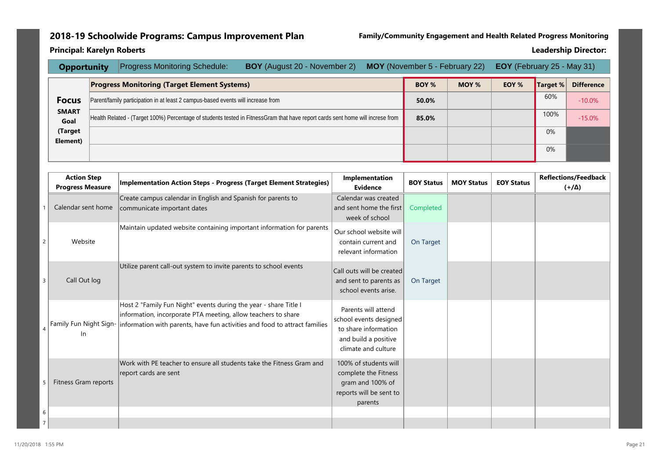### **2018-19 Schoolwide Programs: Campus Improvement Plan Family/Community Engagement and Health Related Progress Monitoring**

| <b>Opportunity</b>   |                                                                                  | <b>Progress Monitoring Schedule:</b> | <b>BOY</b> (August 20 - November 2)                                                                                            |  | <b>MOY</b> (November 5 - February 22) | <b>EOY</b> (February 25 - May 31) |       |          |                   |
|----------------------|----------------------------------------------------------------------------------|--------------------------------------|--------------------------------------------------------------------------------------------------------------------------------|--|---------------------------------------|-----------------------------------|-------|----------|-------------------|
|                      | <b>Progress Monitoring (Target Element Systems)</b>                              |                                      |                                                                                                                                |  |                                       | MOY %                             | EOY % | Target % | <b>Difference</b> |
| <b>Focus</b>         | Parent/family participation in at least 2 campus-based events will increase from |                                      |                                                                                                                                |  |                                       |                                   |       | 60%      | $-10.0%$          |
| <b>SMART</b><br>Goal |                                                                                  |                                      | Health Related - (Target 100%) Percentage of students tested in FitnessGram that have report cards sent home will increse from |  | 85.0%                                 |                                   |       | 100%     | $-15.0%$          |
| (Target<br>Element)  |                                                                                  |                                      |                                                                                                                                |  |                                       |                                   |       | 0%       |                   |
|                      |                                                                                  |                                      |                                                                                                                                |  |                                       |                                   |       | 0%       |                   |

|                | <b>Action Step</b><br><b>Progress Measure</b> | <b>Implementation Action Steps - Progress (Target Element Strategies)</b>                                                                                                                                                                | Implementation<br>Evidence                                                                                           | <b>BOY Status</b> | <b>MOY Status</b> | <b>EOY Status</b> | <b>Reflections/Feedback</b><br>$(\Delta \$ |
|----------------|-----------------------------------------------|------------------------------------------------------------------------------------------------------------------------------------------------------------------------------------------------------------------------------------------|----------------------------------------------------------------------------------------------------------------------|-------------------|-------------------|-------------------|--------------------------------------------|
|                | Calendar sent home                            | Create campus calendar in English and Spanish for parents to<br>communicate important dates                                                                                                                                              | Calendar was created<br>and sent home the first<br>week of school                                                    | Completed         |                   |                   |                                            |
| 2              | Website                                       | Maintain updated website containing important information for parents                                                                                                                                                                    | Our school website will<br>contain current and<br>relevant information                                               | On Target         |                   |                   |                                            |
| $\overline{3}$ | Call Out log                                  | Utilize parent call-out system to invite parents to school events                                                                                                                                                                        | Call outs will be created<br>and sent to parents as<br>school events arise.                                          | On Target         |                   |                   |                                            |
|                | In.                                           | Host 2 "Family Fun Night" events during the year - share Title I<br>information, incorporate PTA meeting, allow teachers to share<br>Family Fun Night Sign-   information with parents, have fun activities and food to attract families | Parents will attend<br>school events designed<br>to share information<br>and build a positive<br>climate and culture |                   |                   |                   |                                            |
|                | Fitness Gram reports                          | Work with PE teacher to ensure all students take the Fitness Gram and<br>report cards are sent                                                                                                                                           | 100% of students will<br>complete the Fitness<br>gram and 100% of<br>reports will be sent to<br>parents              |                   |                   |                   |                                            |
| 6              |                                               |                                                                                                                                                                                                                                          |                                                                                                                      |                   |                   |                   |                                            |
|                |                                               |                                                                                                                                                                                                                                          |                                                                                                                      |                   |                   |                   |                                            |